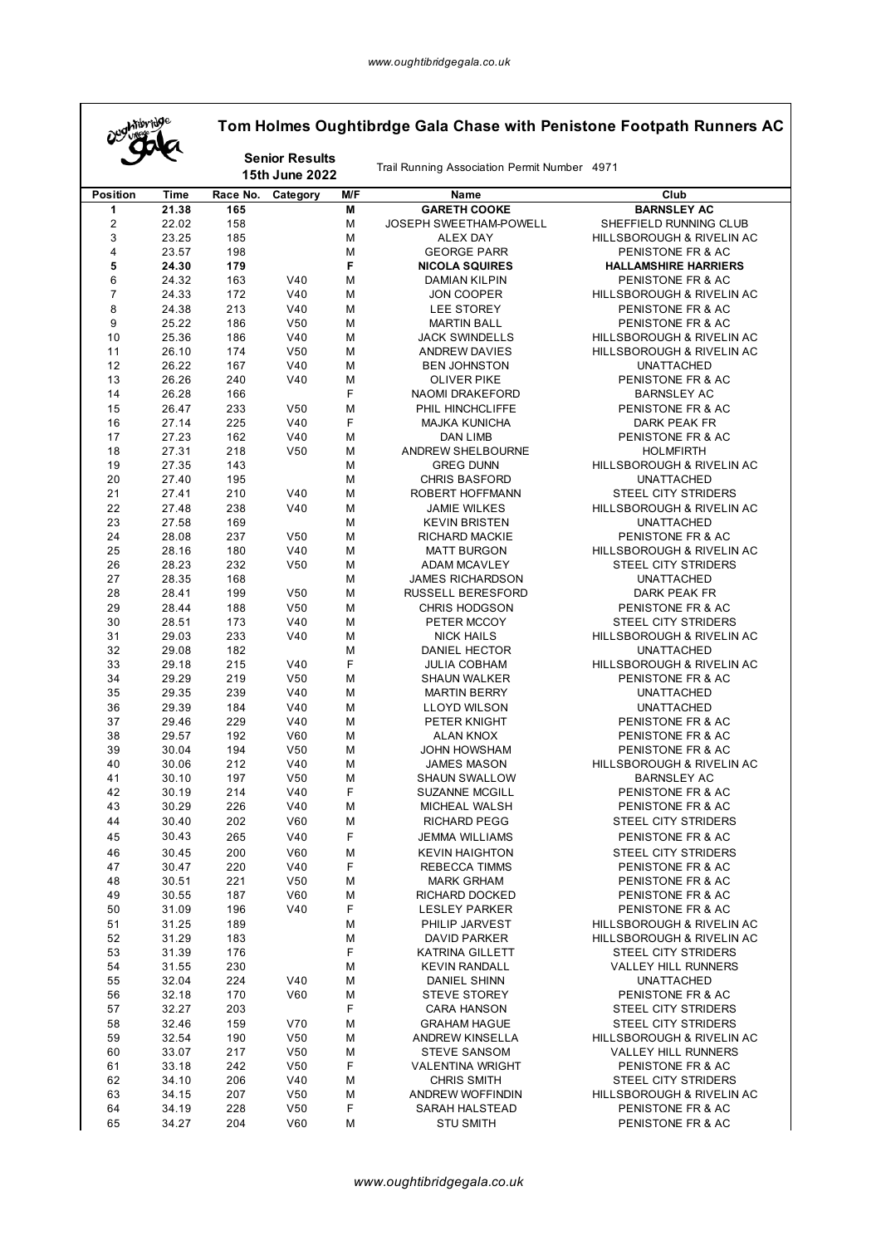$\mathsf{r}$ 

| <b>Mibridge</b>         |                | Tom Holmes Oughtibrdge Gala Chase with Penistone Footpath Runners AC |                                         |        |                                              |                                                |  |  |  |
|-------------------------|----------------|----------------------------------------------------------------------|-----------------------------------------|--------|----------------------------------------------|------------------------------------------------|--|--|--|
|                         |                |                                                                      | <b>Senior Results</b><br>15th June 2022 |        | Trail Running Association Permit Number 4971 |                                                |  |  |  |
| <b>Position</b>         | Time           | Race No.                                                             | Category                                | M/F    | Name                                         | Club                                           |  |  |  |
| 1                       | 21.38          | 165                                                                  |                                         | M      | <b>GARETH COOKE</b>                          | <b>BARNSLEY AC</b>                             |  |  |  |
| $\overline{\mathbf{c}}$ | 22.02          | 158                                                                  |                                         | M      | JOSEPH SWEETHAM-POWELL                       | SHEFFIELD RUNNING CLUB                         |  |  |  |
| 3                       | 23.25          | 185                                                                  |                                         | M      | <b>ALEX DAY</b>                              | HILLSBOROUGH & RIVELIN AC                      |  |  |  |
| 4                       | 23.57          | 198                                                                  |                                         | M      | <b>GEORGE PARR</b>                           | PENISTONE FR & AC                              |  |  |  |
| 5                       | 24.30          | 179                                                                  |                                         | F      | <b>NICOLA SQUIRES</b>                        | <b>HALLAMSHIRE HARRIERS</b>                    |  |  |  |
| 6                       | 24.32          | 163                                                                  | V40                                     | M      | <b>DAMIAN KILPIN</b>                         | PENISTONE FR & AC                              |  |  |  |
| 7                       | 24.33          | 172                                                                  | V40                                     | M      | <b>JON COOPER</b>                            | <b>HILLSBOROUGH &amp; RIVELIN AC</b>           |  |  |  |
| 8<br>9                  | 24.38          | 213                                                                  | V40<br>V <sub>50</sub>                  | M      | LEE STOREY                                   | PENISTONE FR & AC                              |  |  |  |
| 10                      | 25.22<br>25.36 | 186<br>186                                                           | V40                                     | M<br>M | <b>MARTIN BALL</b><br><b>JACK SWINDELLS</b>  | PENISTONE FR & AC<br>HILLSBOROUGH & RIVELIN AC |  |  |  |
| 11                      | 26.10          | 174                                                                  | V <sub>50</sub>                         | M      | <b>ANDREW DAVIES</b>                         | HILLSBOROUGH & RIVELIN AC                      |  |  |  |
| 12                      | 26.22          | 167                                                                  | V40                                     | M      | <b>BEN JOHNSTON</b>                          | <b>UNATTACHED</b>                              |  |  |  |
| 13                      | 26.26          | 240                                                                  | V40                                     | M      | <b>OLIVER PIKE</b>                           | PENISTONE FR & AC                              |  |  |  |
| 14                      | 26.28          | 166                                                                  |                                         | F      | NAOMI DRAKEFORD                              | <b>BARNSLEY AC</b>                             |  |  |  |
| 15                      | 26.47          | 233                                                                  | V <sub>50</sub>                         | M      | PHIL HINCHCLIFFE                             | PENISTONE FR & AC                              |  |  |  |
| 16                      | 27.14          | 225                                                                  | V40                                     | F      | <b>MAJKA KUNICHA</b>                         | DARK PEAK FR                                   |  |  |  |
| 17                      | 27.23          | 162                                                                  | V40                                     | M      | DAN LIMB                                     | PENISTONE FR & AC                              |  |  |  |
| 18                      | 27.31          | 218                                                                  | V <sub>50</sub>                         | M      | ANDREW SHELBOURNE                            | <b>HOLMFIRTH</b>                               |  |  |  |
| 19                      | 27.35          | 143                                                                  |                                         | M      | <b>GREG DUNN</b>                             | <b>HILLSBOROUGH &amp; RIVELIN AC</b>           |  |  |  |
| 20                      | 27.40          | 195                                                                  |                                         | M      | <b>CHRIS BASFORD</b>                         | <b>UNATTACHED</b>                              |  |  |  |
| 21                      | 27.41          | 210                                                                  | V40                                     | M      | ROBERT HOFFMANN                              | STEEL CITY STRIDERS                            |  |  |  |
| 22                      | 27.48          | 238                                                                  | V40                                     | M      | <b>JAMIE WILKES</b>                          | HILLSBOROUGH & RIVELIN AC                      |  |  |  |
| 23<br>24                | 27.58<br>28.08 | 169<br>237                                                           | V <sub>50</sub>                         | M<br>M | <b>KEVIN BRISTEN</b>                         | <b>UNATTACHED</b><br>PENISTONE FR & AC         |  |  |  |
| 25                      | 28.16          | 180                                                                  | V40                                     | M      | RICHARD MACKIE<br><b>MATT BURGON</b>         | HILLSBOROUGH & RIVELIN AC                      |  |  |  |
| 26                      | 28.23          | 232                                                                  | V <sub>50</sub>                         | M      | <b>ADAM MCAVLEY</b>                          | <b>STEEL CITY STRIDERS</b>                     |  |  |  |
| 27                      | 28.35          | 168                                                                  |                                         | M      | <b>JAMES RICHARDSON</b>                      | <b>UNATTACHED</b>                              |  |  |  |
| 28                      | 28.41          | 199                                                                  | V <sub>50</sub>                         | M      | <b>RUSSELL BERESFORD</b>                     | DARK PEAK FR                                   |  |  |  |
| 29                      | 28.44          | 188                                                                  | V <sub>50</sub>                         | M      | <b>CHRIS HODGSON</b>                         | PENISTONE FR & AC                              |  |  |  |
| 30                      | 28.51          | 173                                                                  | V40                                     | M      | PETER MCCOY                                  | STEEL CITY STRIDERS                            |  |  |  |
| 31                      | 29.03          | 233                                                                  | V40                                     | M      | <b>NICK HAILS</b>                            | HILLSBOROUGH & RIVELIN AC                      |  |  |  |
| 32                      | 29.08          | 182                                                                  |                                         | M      | DANIEL HECTOR                                | <b>UNATTACHED</b>                              |  |  |  |
| 33                      | 29.18          | 215                                                                  | V40                                     | F      | <b>JULIA COBHAM</b>                          | HILLSBOROUGH & RIVELIN AC                      |  |  |  |
| 34                      | 29.29          | 219                                                                  | V <sub>50</sub>                         | M      | SHAUN WALKER                                 | PENISTONE FR & AC                              |  |  |  |
| 35                      | 29.35          | 239                                                                  | V40                                     | M      | <b>MARTIN BERRY</b>                          | <b>UNATTACHED</b>                              |  |  |  |
| 36                      | 29.39          | 184                                                                  | V40                                     | M      | <b>LLOYD WILSON</b>                          | <b>UNATTACHED</b>                              |  |  |  |
| 37                      | 29.46          | 229                                                                  | V40                                     | M      | PETER KNIGHT                                 | PENISTONE FR & AC                              |  |  |  |
| 38<br>39                | 29.57<br>30.04 | 192<br>194                                                           | V60<br>V <sub>50</sub>                  | M<br>M | ALAN KNOX<br><b>JOHN HOWSHAM</b>             | PENISTONE FR & AC<br>PENISTONE FR & AC         |  |  |  |
| 40                      | 30.06          | 212                                                                  | V40                                     | M      | JAMES MASON                                  | <b>HILLSBOROUGH &amp; RIVELIN AC</b>           |  |  |  |
| 41                      | 30.10          | 197                                                                  | V50                                     | M      | <b>SHAUN SWALLOW</b>                         | BARNSLEY AC                                    |  |  |  |
| 42                      | 30.19          | 214                                                                  | V40                                     | F      | <b>SUZANNE MCGILL</b>                        | PENISTONE FR & AC                              |  |  |  |
| 43                      | 30.29          | 226                                                                  | V40                                     | M      | MICHEAL WALSH                                | PENISTONE FR & AC                              |  |  |  |
| 44                      | 30.40          | 202                                                                  | V60                                     | M      | <b>RICHARD PEGG</b>                          | STEEL CITY STRIDERS                            |  |  |  |
| 45                      | 30.43          | 265                                                                  | V40                                     | F      | <b>JEMMA WILLIAMS</b>                        | PENISTONE FR & AC                              |  |  |  |
| 46                      | 30.45          | 200                                                                  | <b>V60</b>                              | M      | <b>KEVIN HAIGHTON</b>                        | STEEL CITY STRIDERS                            |  |  |  |
| 47                      | 30.47          | 220                                                                  | V40                                     | F      | <b>REBECCA TIMMS</b>                         | PENISTONE FR & AC                              |  |  |  |
| 48                      | 30.51          | 221                                                                  | V <sub>50</sub>                         | M      | <b>MARK GRHAM</b>                            | PENISTONE FR & AC                              |  |  |  |
| 49                      | 30.55          | 187                                                                  | V60                                     | М      | <b>RICHARD DOCKED</b>                        | PENISTONE FR & AC                              |  |  |  |
| 50                      | 31.09          | 196                                                                  | V40                                     | F      | <b>LESLEY PARKER</b>                         | PENISTONE FR & AC                              |  |  |  |
| 51                      | 31.25          | 189                                                                  |                                         | M      | PHILIP JARVEST                               | <b>HILLSBOROUGH &amp; RIVELIN AC</b>           |  |  |  |
| 52                      | 31.29          | 183                                                                  |                                         | M      | <b>DAVID PARKER</b>                          | HILLSBOROUGH & RIVELIN AC                      |  |  |  |
| 53                      | 31.39          | 176                                                                  |                                         | F      | <b>KATRINA GILLETT</b>                       | STEEL CITY STRIDERS                            |  |  |  |
| 54                      | 31.55          | 230                                                                  |                                         | М      | <b>KEVIN RANDALL</b>                         | VALLEY HILL RUNNERS                            |  |  |  |
| 55<br>56                | 32.04<br>32.18 | 224<br>170                                                           | V40<br>V60                              | M<br>M | <b>DANIEL SHINN</b><br><b>STEVE STOREY</b>   | <b>UNATTACHED</b><br>PENISTONE FR & AC         |  |  |  |
| 57                      | 32.27          | 203                                                                  |                                         | F      | <b>CARA HANSON</b>                           | STEEL CITY STRIDERS                            |  |  |  |
| 58                      | 32.46          | 159                                                                  | V70                                     | M      | <b>GRAHAM HAGUE</b>                          | STEEL CITY STRIDERS                            |  |  |  |
| 59                      | 32.54          | 190                                                                  | V <sub>50</sub>                         | М      | ANDREW KINSELLA                              | HILLSBOROUGH & RIVELIN AC                      |  |  |  |
| 60                      | 33.07          | 217                                                                  | V <sub>50</sub>                         | M      | <b>STEVE SANSOM</b>                          | VALLEY HILL RUNNERS                            |  |  |  |
| 61                      | 33.18          | 242                                                                  | V <sub>50</sub>                         | F      | <b>VALENTINA WRIGHT</b>                      | PENISTONE FR & AC                              |  |  |  |
| 62                      | 34.10          | 206                                                                  | V40                                     | M      | <b>CHRIS SMITH</b>                           | STEEL CITY STRIDERS                            |  |  |  |
| 63                      | 34.15          | 207                                                                  | V <sub>50</sub>                         | М      | <b>ANDREW WOFFINDIN</b>                      | HILLSBOROUGH & RIVELIN AC                      |  |  |  |
| 64                      | 34.19          | 228                                                                  | V <sub>50</sub>                         | F      | <b>SARAH HALSTEAD</b>                        | PENISTONE FR & AC                              |  |  |  |
| 65                      | 34.27          | 204                                                                  | V60                                     | М      | <b>STU SMITH</b>                             | PENISTONE FR & AC                              |  |  |  |